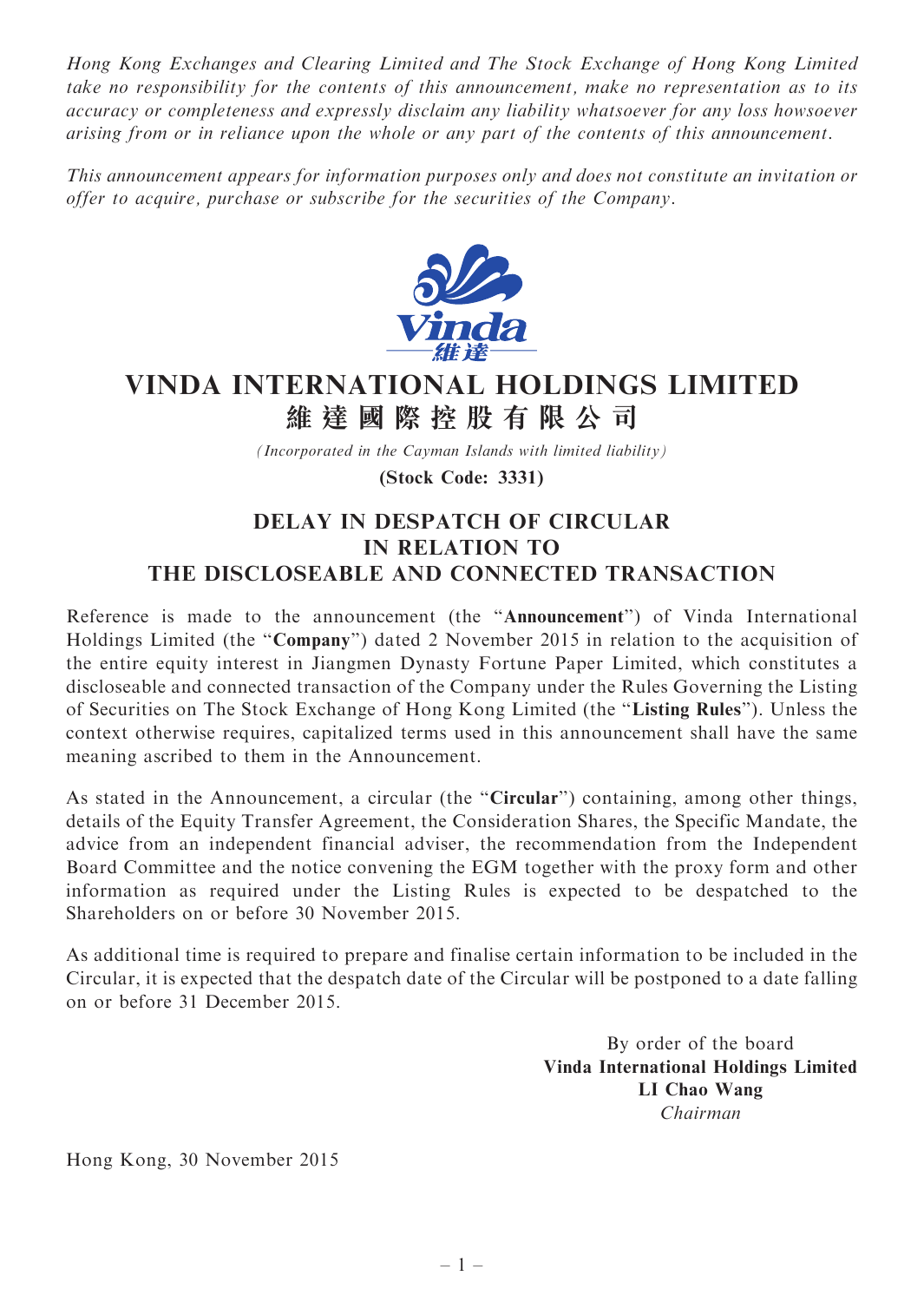Hong Kong Exchanges and Clearing Limited and The Stock Exchange of Hong Kong Limited take no responsibility for the contents of this announcement, make no representation as to its accuracy or completeness and expressly disclaim any liability whatsoever for any loss howsoever arising from or in reliance upon the whole or any part of the contents of this announcement.

This announcement appears for information purposes only and does not constitute an invitation or offer to acquire, purchase or subscribe for the securities of the Company.



## VINDA INTERNATIONAL HOLDINGS LIMITED 維 達 國 際 控 股 有 限 公 司

(Incorporated in the Cayman Islands with limited liability)

(Stock Code: 3331)

## DELAY IN DESPATCH OF CIRCULAR IN RELATION TO THE DISCLOSEABLE AND CONNECTED TRANSACTION

Reference is made to the announcement (the ''Announcement'') of Vinda International Holdings Limited (the "Company") dated 2 November 2015 in relation to the acquisition of the entire equity interest in Jiangmen Dynasty Fortune Paper Limited, which constitutes a discloseable and connected transaction of the Company under the Rules Governing the Listing of Securities on The Stock Exchange of Hong Kong Limited (the ''Listing Rules''). Unless the context otherwise requires, capitalized terms used in this announcement shall have the same meaning ascribed to them in the Announcement.

As stated in the Announcement, a circular (the "Circular") containing, among other things, details of the Equity Transfer Agreement, the Consideration Shares, the Specific Mandate, the advice from an independent financial adviser, the recommendation from the Independent Board Committee and the notice convening the EGM together with the proxy form and other information as required under the Listing Rules is expected to be despatched to the Shareholders on or before 30 November 2015.

As additional time is required to prepare and finalise certain information to be included in the Circular, it is expected that the despatch date of the Circular will be postponed to a date falling on or before 31 December 2015.

> By order of the board Vinda International Holdings Limited LI Chao Wang Chairman

Hong Kong, 30 November 2015